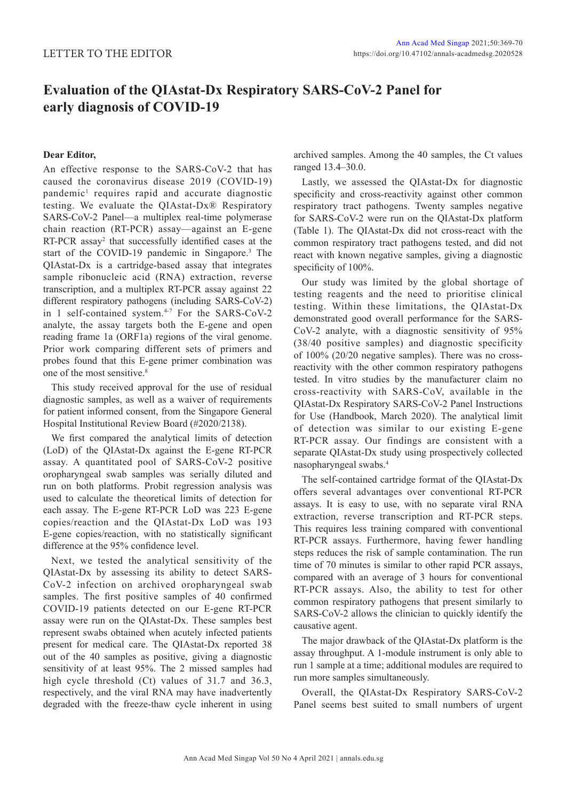## **Evaluation of the QIAstat-Dx Respiratory SARS-CoV-2 Panel for early diagnosis of COVID-19**

## **Dear Editor,**

An effective response to the SARS-CoV-2 that has caused the coronavirus disease 2019 (COVID-19) pandemic<sup>1</sup> requires rapid and accurate diagnostic testing. We evaluate the QIAstat-Dx® Respiratory SARS-CoV-2 Panel—a multiplex real-time polymerase chain reaction (RT-PCR) assay—against an E-gene RT-PCR assay<sup>2</sup> that successfully identified cases at the start of the COVID-19 pandemic in Singapore.<sup>3</sup> The QIAstat-Dx is a cartridge-based assay that integrates sample ribonucleic acid (RNA) extraction, reverse transcription, and a multiplex RT-PCR assay against 22 different respiratory pathogens (including SARS-CoV-2) in 1 self-contained system.<sup>4-7</sup> For the SARS-CoV-2 analyte, the assay targets both the E-gene and open reading frame 1a (ORF1a) regions of the viral genome. Prior work comparing different sets of primers and probes found that this E-gene primer combination was one of the most sensitive.8

This study received approval for the use of residual diagnostic samples, as well as a waiver of requirements for patient informed consent, from the Singapore General Hospital Institutional Review Board (#2020/2138).

We first compared the analytical limits of detection (LoD) of the QIAstat-Dx against the E-gene RT-PCR assay. A quantitated pool of SARS-CoV-2 positive oropharyngeal swab samples was serially diluted and run on both platforms. Probit regression analysis was used to calculate the theoretical limits of detection for each assay. The E-gene RT-PCR LoD was 223 E-gene copies/reaction and the QIAstat-Dx LoD was 193 E-gene copies/reaction, with no statistically significant difference at the 95% confidence level.

Next, we tested the analytical sensitivity of the QIAstat-Dx by assessing its ability to detect SARS-CoV-2 infection on archived oropharyngeal swab samples. The first positive samples of 40 confirmed COVID-19 patients detected on our E-gene RT-PCR assay were run on the QIAstat-Dx. These samples best represent swabs obtained when acutely infected patients present for medical care. The QIAstat-Dx reported 38 out of the 40 samples as positive, giving a diagnostic sensitivity of at least 95%. The 2 missed samples had high cycle threshold (Ct) values of 31.7 and 36.3, respectively, and the viral RNA may have inadvertently degraded with the freeze-thaw cycle inherent in using archived samples. Among the 40 samples, the Ct values ranged 13.4–30.0.

Lastly, we assessed the QIAstat-Dx for diagnostic specificity and cross-reactivity against other common respiratory tract pathogens. Twenty samples negative for SARS-CoV-2 were run on the QIAstat-Dx platform (Table 1). The QIAstat-Dx did not cross-react with the common respiratory tract pathogens tested, and did not react with known negative samples, giving a diagnostic specificity of 100%.

Our study was limited by the global shortage of testing reagents and the need to prioritise clinical testing. Within these limitations, the QIAstat-Dx demonstrated good overall performance for the SARS-CoV-2 analyte, with a diagnostic sensitivity of 95% (38/40 positive samples) and diagnostic specificity of 100% (20/20 negative samples). There was no crossreactivity with the other common respiratory pathogens tested. In vitro studies by the manufacturer claim no cross-reactivity with SARS-CoV, available in the QIAstat-Dx Respiratory SARS-CoV-2 Panel Instructions for Use (Handbook, March 2020). The analytical limit of detection was similar to our existing E-gene RT-PCR assay. Our findings are consistent with a separate QIAstat-Dx study using prospectively collected nasopharyngeal swabs.4

The self-contained cartridge format of the QIAstat-Dx offers several advantages over conventional RT-PCR assays. It is easy to use, with no separate viral RNA extraction, reverse transcription and RT-PCR steps. This requires less training compared with conventional RT-PCR assays. Furthermore, having fewer handling steps reduces the risk of sample contamination. The run time of 70 minutes is similar to other rapid PCR assays, compared with an average of 3 hours for conventional RT-PCR assays. Also, the ability to test for other common respiratory pathogens that present similarly to SARS-CoV-2 allows the clinician to quickly identify the causative agent.

The major drawback of the QIAstat-Dx platform is the assay throughput. A 1-module instrument is only able to run 1 sample at a time; additional modules are required to run more samples simultaneously.

Overall, the QIAstat-Dx Respiratory SARS-CoV-2 Panel seems best suited to small numbers of urgent